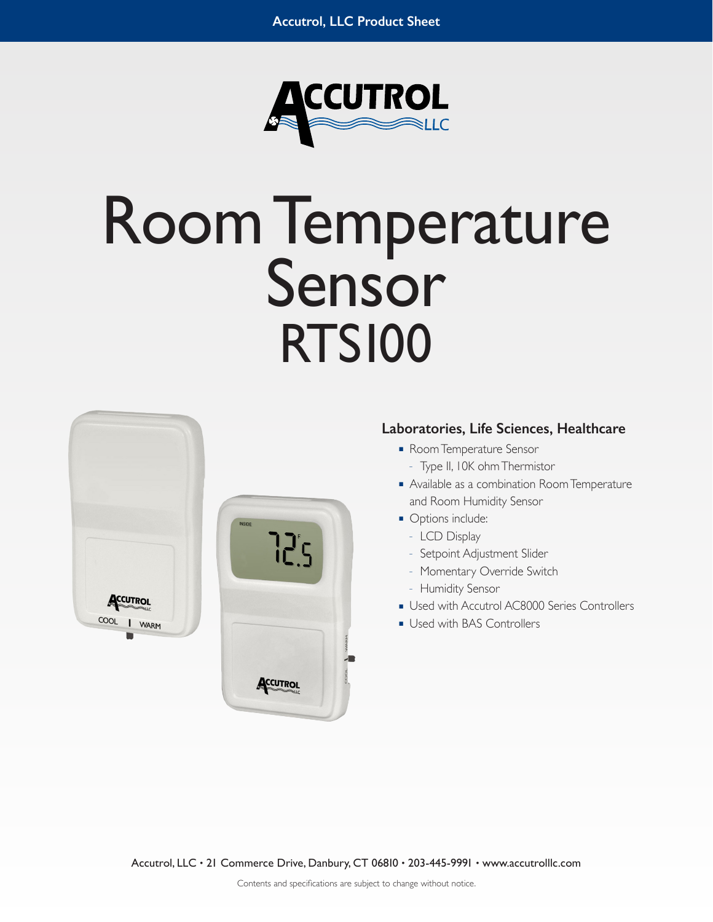

# Room Temperature<br>Sensor RTS100



# **Laboratories, Life Sciences, Healthcare**

- Room Temperature Sensor
	- Type II, 10K ohm Thermistor
- Available as a combination Room Temperature and Room Humidity Sensor
- Options include:
	- LCD Display
	- Setpoint Adjustment Slider
	- Momentary Override Switch
	- Humidity Sensor
- Used with Accutrol AC8000 Series Controllers
- Used with BAS Controllers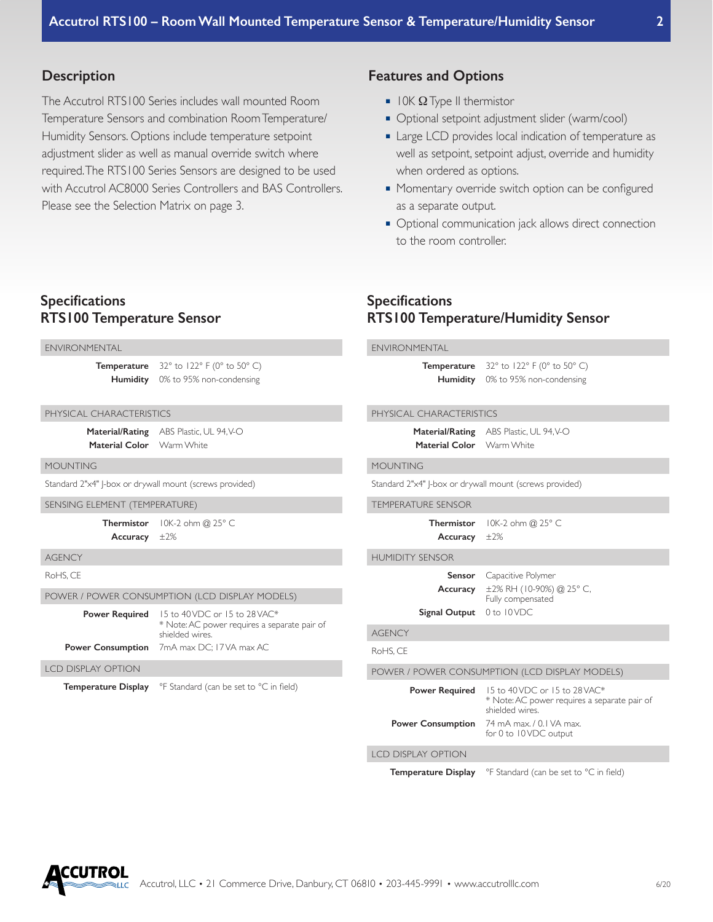## **Description**

The Accutrol RTS100 Series includes wall mounted Room Temperature Sensors and combination Room Temperature/ Humidity Sensors. Options include temperature setpoint adjustment slider as well as manual override switch where required. The RTS100 Series Sensors are designed to be used with Accutrol AC8000 Series Controllers and BAS Controllers. Please see the Selection Matrix on page 3.

### **Features and Options**

**Specifications**

- $\blacksquare$  I OK  $\Omega$  Type II thermistor
- Optional setpoint adjustment slider (warm/cool)
- Large LCD provides local indication of temperature as well as setpoint, setpoint adjust, override and humidity when ordered as options.
- Momentary override switch option can be configured as a separate output.
- Optional communication jack allows direct connection to the room controller.

**RTS100 Temperature/Humidity Sensor**

# **Specifications RTS100 Temperature Sensor**

| <b>ENVIRONMENTAL</b>                                    |                                                                                                   | <b>ENVIRONMENTAL</b>                           |                                                                                                   |  |  |  |
|---------------------------------------------------------|---------------------------------------------------------------------------------------------------|------------------------------------------------|---------------------------------------------------------------------------------------------------|--|--|--|
|                                                         | <b>Temperature</b> $32^\circ$ to $122^\circ$ F (0° to 50° C)<br>Humidity 0% to 95% non-condensing |                                                | <b>Temperature</b> $32^\circ$ to $122^\circ$ F (0° to 50° C)<br>Humidity 0% to 95% non-condensing |  |  |  |
| PHYSICAL CHARACTERISTICS                                |                                                                                                   | PHYSICAL CHARACTERISTICS                       |                                                                                                   |  |  |  |
| Material Color                                          | Material/Rating ABS Plastic, UL 94, V-O<br>Warm White                                             | Material Color Warm White                      | Material/Rating ABS Plastic, UL 94, V-O                                                           |  |  |  |
| <b>MOUNTING</b>                                         |                                                                                                   | <b>MOUNTING</b>                                |                                                                                                   |  |  |  |
| Standard 2"x4"  -box or drywall mount (screws provided) |                                                                                                   |                                                | Standard 2"x4"  -box or drywall mount (screws provided)                                           |  |  |  |
| SENSING ELEMENT (TEMPERATURE)                           |                                                                                                   | <b>TEMPERATURE SENSOR</b>                      |                                                                                                   |  |  |  |
| <b>Thermistor</b><br>Accuracy $\pm 2\%$                 | 10K-2 ohm @ 25° C                                                                                 | <b>Thermistor</b><br>Accuracy                  | 10K-2 ohm @ 25° C<br>±2%                                                                          |  |  |  |
| <b>AGENCY</b>                                           |                                                                                                   | <b>HUMIDITY SENSOR</b>                         |                                                                                                   |  |  |  |
| RoHS, CE                                                |                                                                                                   | <b>Sensor</b>                                  | Capacitive Polymer                                                                                |  |  |  |
|                                                         | POWER / POWER CONSUMPTION (LCD DISPLAY MODELS)                                                    | Accuracy                                       | ±2% RH (10-90%) @ 25° C,<br>Fully compensated                                                     |  |  |  |
| <b>Power Required</b>                                   | 15 to 40 VDC or 15 to 28 VAC*<br>* Note: AC power requires a separate pair of<br>shielded wires.  | Signal Output 0 to I0VDC                       |                                                                                                   |  |  |  |
|                                                         |                                                                                                   | <b>AGENCY</b>                                  |                                                                                                   |  |  |  |
|                                                         | Power Consumption 7mA max DC; I7VA max AC                                                         | RoHS, CE                                       |                                                                                                   |  |  |  |
| <b>LCD DISPLAY OPTION</b>                               |                                                                                                   | POWER / POWER CONSUMPTION (LCD DISPLAY MODELS) |                                                                                                   |  |  |  |
| <b>Temperature Display</b>                              | °F Standard (can be set to °C in field)                                                           | <b>Power Required</b>                          | 15 to 40 VDC or 15 to 28 VAC*<br>* Note: AC power requires a separate pair of<br>shielded wires.  |  |  |  |
|                                                         |                                                                                                   | <b>Power Consumption</b>                       | 74 mA max. / 0.1 VA max.<br>for 0 to 10 VDC output                                                |  |  |  |
|                                                         |                                                                                                   | <b>LCD DISPLAY OPTION</b>                      |                                                                                                   |  |  |  |

**Temperature Display** <sup>o</sup>F Standard (can be set to <sup>o</sup>C in field)